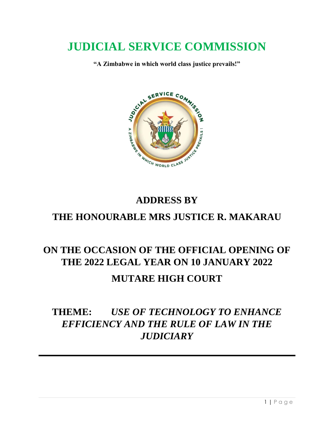# **JUDICIAL SERVICE COMMISSION**

**"A Zimbabwe in which world class justice prevails!"**



## **ADDRESS BY**

### **THE HONOURABLE MRS JUSTICE R. MAKARAU**

## **ON THE OCCASION OF THE OFFICIAL OPENING OF THE 2022 LEGAL YEAR ON 10 JANUARY 2022 MUTARE HIGH COURT**

## **THEME:** *USE OF TECHNOLOGY TO ENHANCE EFFICIENCY AND THE RULE OF LAW IN THE JUDICIARY*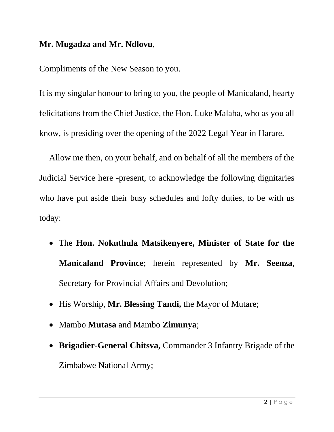#### **Mr. Mugadza and Mr. Ndlovu**,

Compliments of the New Season to you.

It is my singular honour to bring to you, the people of Manicaland, hearty felicitations from the Chief Justice, the Hon. Luke Malaba, who as you all know, is presiding over the opening of the 2022 Legal Year in Harare.

Allow me then, on your behalf, and on behalf of all the members of the Judicial Service here -present, to acknowledge the following dignitaries who have put aside their busy schedules and lofty duties, to be with us today:

- The **Hon. Nokuthula Matsikenyere, Minister of State for the Manicaland Province**; herein represented by **Mr. Seenza**, Secretary for Provincial Affairs and Devolution;
- His Worship, Mr. Blessing Tandi, the Mayor of Mutare;
- Mambo **Mutasa** and Mambo **Zimunya**;
- **Brigadier-General Chitsva,** Commander 3 Infantry Brigade of the Zimbabwe National Army;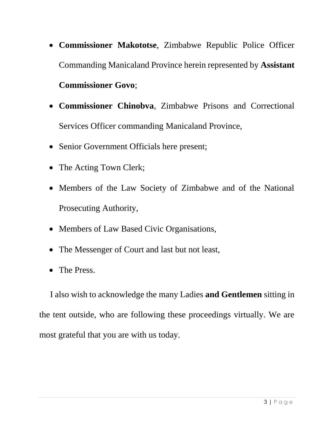- **Commissioner Makototse**, Zimbabwe Republic Police Officer Commanding Manicaland Province herein represented by **Assistant Commissioner Govo**;
- **Commissioner Chinobva**, Zimbabwe Prisons and Correctional Services Officer commanding Manicaland Province,
- Senior Government Officials here present;
- The Acting Town Clerk;
- Members of the Law Society of Zimbabwe and of the National Prosecuting Authority,
- Members of Law Based Civic Organisations,
- The Messenger of Court and last but not least,
- The Press.

 I also wish to acknowledge the many Ladies **and Gentlemen** sitting in the tent outside, who are following these proceedings virtually. We are most grateful that you are with us today.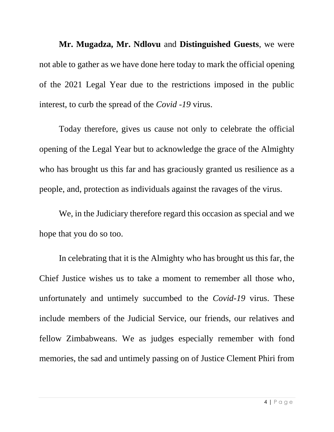**Mr. Mugadza, Mr. Ndlovu** and **Distinguished Guests**, we were not able to gather as we have done here today to mark the official opening of the 2021 Legal Year due to the restrictions imposed in the public interest, to curb the spread of the *Covid -19* virus.

Today therefore, gives us cause not only to celebrate the official opening of the Legal Year but to acknowledge the grace of the Almighty who has brought us this far and has graciously granted us resilience as a people, and, protection as individuals against the ravages of the virus.

We, in the Judiciary therefore regard this occasion as special and we hope that you do so too.

In celebrating that it is the Almighty who has brought us this far, the Chief Justice wishes us to take a moment to remember all those who, unfortunately and untimely succumbed to the *Covid-19* virus. These include members of the Judicial Service, our friends, our relatives and fellow Zimbabweans. We as judges especially remember with fond memories, the sad and untimely passing on of Justice Clement Phiri from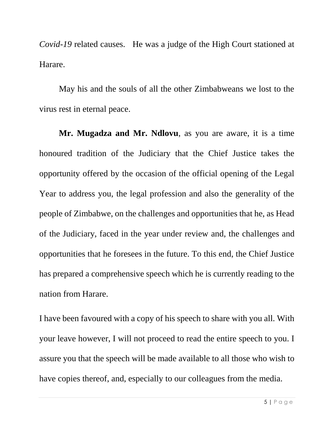*Covid-19* related causes. He was a judge of the High Court stationed at Harare.

May his and the souls of all the other Zimbabweans we lost to the virus rest in eternal peace.

**Mr. Mugadza and Mr. Ndlovu**, as you are aware, it is a time honoured tradition of the Judiciary that the Chief Justice takes the opportunity offered by the occasion of the official opening of the Legal Year to address you, the legal profession and also the generality of the people of Zimbabwe, on the challenges and opportunities that he, as Head of the Judiciary, faced in the year under review and, the challenges and opportunities that he foresees in the future. To this end, the Chief Justice has prepared a comprehensive speech which he is currently reading to the nation from Harare.

I have been favoured with a copy of his speech to share with you all. With your leave however, I will not proceed to read the entire speech to you. I assure you that the speech will be made available to all those who wish to have copies thereof, and, especially to our colleagues from the media.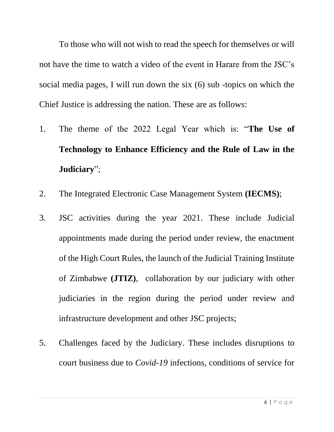To those who will not wish to read the speech for themselves or will not have the time to watch a video of the event in Harare from the JSC's social media pages, I will run down the six (6) sub -topics on which the Chief Justice is addressing the nation. These are as follows:

- 1. The theme of the 2022 Legal Year which is: "**The Use of Technology to Enhance Efficiency and the Rule of Law in the Judiciary**";
- 2. The Integrated Electronic Case Management System **(IECMS)**;
- 3. JSC activities during the year 2021. These include Judicial appointments made during the period under review, the enactment of the High Court Rules, the launch of the Judicial Training Institute of Zimbabwe **(JTIZ)**, collaboration by our judiciary with other judiciaries in the region during the period under review and infrastructure development and other JSC projects;
- 5. Challenges faced by the Judiciary. These includes disruptions to court business due to *Covid-19* infections, conditions of service for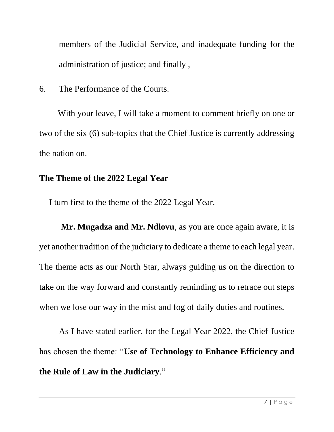members of the Judicial Service, and inadequate funding for the administration of justice; and finally ,

6. The Performance of the Courts.

 With your leave, I will take a moment to comment briefly on one or two of the six (6) sub-topics that the Chief Justice is currently addressing the nation on.

### **The Theme of the 2022 Legal Year**

I turn first to the theme of the 2022 Legal Year.

 **Mr. Mugadza and Mr. Ndlovu**, as you are once again aware, it is yet another tradition of the judiciary to dedicate a theme to each legal year. The theme acts as our North Star, always guiding us on the direction to take on the way forward and constantly reminding us to retrace out steps when we lose our way in the mist and fog of daily duties and routines.

As I have stated earlier, for the Legal Year 2022, the Chief Justice has chosen the theme: "**Use of Technology to Enhance Efficiency and the Rule of Law in the Judiciary**."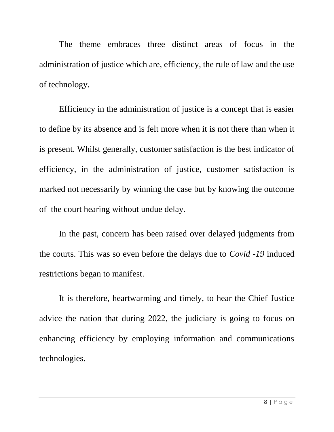The theme embraces three distinct areas of focus in the administration of justice which are, efficiency, the rule of law and the use of technology.

Efficiency in the administration of justice is a concept that is easier to define by its absence and is felt more when it is not there than when it is present. Whilst generally, customer satisfaction is the best indicator of efficiency, in the administration of justice, customer satisfaction is marked not necessarily by winning the case but by knowing the outcome of the court hearing without undue delay.

In the past, concern has been raised over delayed judgments from the courts. This was so even before the delays due to *Covid -19* induced restrictions began to manifest.

It is therefore, heartwarming and timely, to hear the Chief Justice advice the nation that during 2022, the judiciary is going to focus on enhancing efficiency by employing information and communications technologies.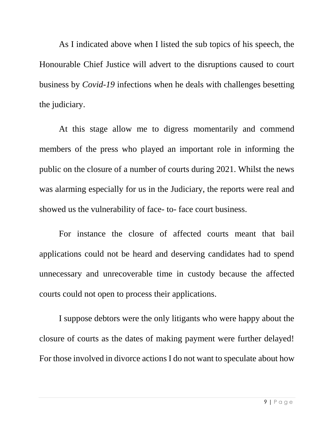As I indicated above when I listed the sub topics of his speech, the Honourable Chief Justice will advert to the disruptions caused to court business by *Covid-19* infections when he deals with challenges besetting the judiciary.

At this stage allow me to digress momentarily and commend members of the press who played an important role in informing the public on the closure of a number of courts during 2021. Whilst the news was alarming especially for us in the Judiciary, the reports were real and showed us the vulnerability of face- to- face court business.

For instance the closure of affected courts meant that bail applications could not be heard and deserving candidates had to spend unnecessary and unrecoverable time in custody because the affected courts could not open to process their applications.

I suppose debtors were the only litigants who were happy about the closure of courts as the dates of making payment were further delayed! For those involved in divorce actions I do not want to speculate about how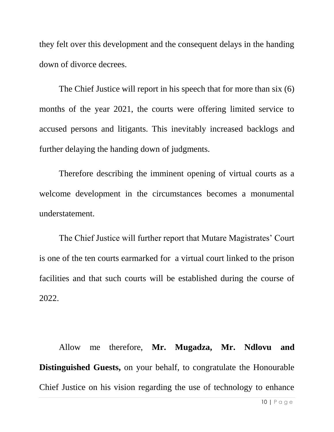they felt over this development and the consequent delays in the handing down of divorce decrees.

The Chief Justice will report in his speech that for more than six (6) months of the year 2021, the courts were offering limited service to accused persons and litigants. This inevitably increased backlogs and further delaying the handing down of judgments.

Therefore describing the imminent opening of virtual courts as a welcome development in the circumstances becomes a monumental understatement.

The Chief Justice will further report that Mutare Magistrates' Court is one of the ten courts earmarked for a virtual court linked to the prison facilities and that such courts will be established during the course of 2022.

Allow me therefore, **Mr. Mugadza, Mr. Ndlovu and Distinguished Guests,** on your behalf, to congratulate the Honourable Chief Justice on his vision regarding the use of technology to enhance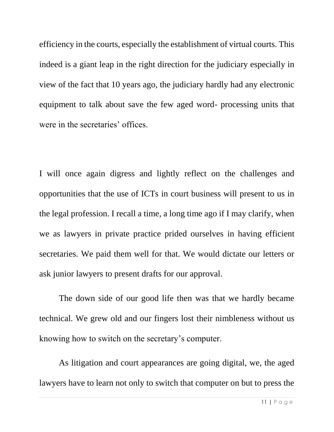efficiency in the courts, especially the establishment of virtual courts. This indeed is a giant leap in the right direction for the judiciary especially in view of the fact that 10 years ago, the judiciary hardly had any electronic equipment to talk about save the few aged word- processing units that were in the secretaries' offices.

I will once again digress and lightly reflect on the challenges and opportunities that the use of ICTs in court business will present to us in the legal profession. I recall a time, a long time ago if I may clarify, when we as lawyers in private practice prided ourselves in having efficient secretaries. We paid them well for that. We would dictate our letters or ask junior lawyers to present drafts for our approval.

The down side of our good life then was that we hardly became technical. We grew old and our fingers lost their nimbleness without us knowing how to switch on the secretary's computer.

As litigation and court appearances are going digital, we, the aged lawyers have to learn not only to switch that computer on but to press the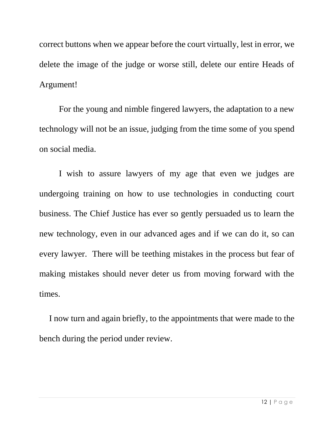correct buttons when we appear before the court virtually, lest in error, we delete the image of the judge or worse still, delete our entire Heads of Argument!

For the young and nimble fingered lawyers, the adaptation to a new technology will not be an issue, judging from the time some of you spend on social media.

I wish to assure lawyers of my age that even we judges are undergoing training on how to use technologies in conducting court business. The Chief Justice has ever so gently persuaded us to learn the new technology, even in our advanced ages and if we can do it, so can every lawyer. There will be teething mistakes in the process but fear of making mistakes should never deter us from moving forward with the times.

I now turn and again briefly, to the appointments that were made to the bench during the period under review.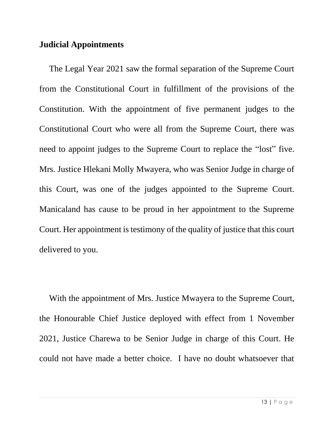#### **Judicial Appointments**

The Legal Year 2021 saw the formal separation of the Supreme Court from the Constitutional Court in fulfillment of the provisions of the Constitution. With the appointment of five permanent judges to the Constitutional Court who were all from the Supreme Court, there was need to appoint judges to the Supreme Court to replace the "lost" five. Mrs. Justice Hlekani Molly Mwayera, who was Senior Judge in charge of this Court, was one of the judges appointed to the Supreme Court. Manicaland has cause to be proud in her appointment to the Supreme Court. Her appointment is testimony of the quality of justice that this court delivered to you.

With the appointment of Mrs. Justice Mwayera to the Supreme Court, the Honourable Chief Justice deployed with effect from 1 November 2021, Justice Charewa to be Senior Judge in charge of this Court. He could not have made a better choice. I have no doubt whatsoever that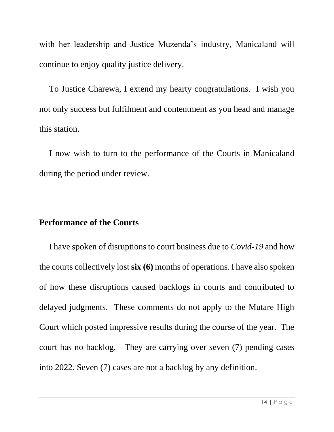with her leadership and Justice Muzenda's industry, Manicaland will continue to enjoy quality justice delivery.

To Justice Charewa, I extend my hearty congratulations. I wish you not only success but fulfilment and contentment as you head and manage this station.

I now wish to turn to the performance of the Courts in Manicaland during the period under review.

#### **Performance of the Courts**

I have spoken of disruptions to court business due to *Covid-19* and how the courts collectively lost **six (6)** months of operations. I have also spoken of how these disruptions caused backlogs in courts and contributed to delayed judgments. These comments do not apply to the Mutare High Court which posted impressive results during the course of the year. The court has no backlog. They are carrying over seven (7) pending cases into 2022. Seven (7) cases are not a backlog by any definition.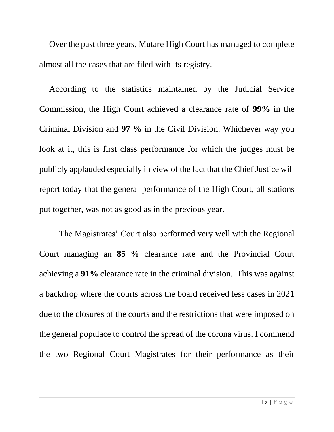Over the past three years, Mutare High Court has managed to complete almost all the cases that are filed with its registry.

According to the statistics maintained by the Judicial Service Commission, the High Court achieved a clearance rate of **99%** in the Criminal Division and **97 %** in the Civil Division. Whichever way you look at it, this is first class performance for which the judges must be publicly applauded especially in view of the fact that the Chief Justice will report today that the general performance of the High Court, all stations put together, was not as good as in the previous year.

The Magistrates' Court also performed very well with the Regional Court managing an **85 %** clearance rate and the Provincial Court achieving a **91%** clearance rate in the criminal division. This was against a backdrop where the courts across the board received less cases in 2021 due to the closures of the courts and the restrictions that were imposed on the general populace to control the spread of the corona virus. I commend the two Regional Court Magistrates for their performance as their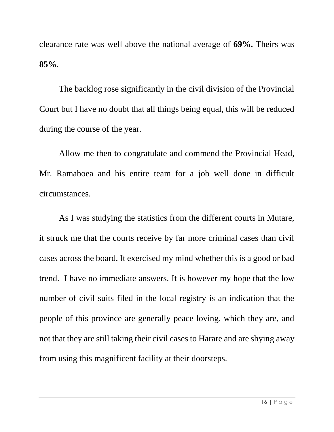clearance rate was well above the national average of **69%.** Theirs was **85%**.

The backlog rose significantly in the civil division of the Provincial Court but I have no doubt that all things being equal, this will be reduced during the course of the year.

Allow me then to congratulate and commend the Provincial Head, Mr. Ramaboea and his entire team for a job well done in difficult circumstances.

As I was studying the statistics from the different courts in Mutare, it struck me that the courts receive by far more criminal cases than civil cases across the board. It exercised my mind whether this is a good or bad trend. I have no immediate answers. It is however my hope that the low number of civil suits filed in the local registry is an indication that the people of this province are generally peace loving, which they are, and not that they are still taking their civil cases to Harare and are shying away from using this magnificent facility at their doorsteps.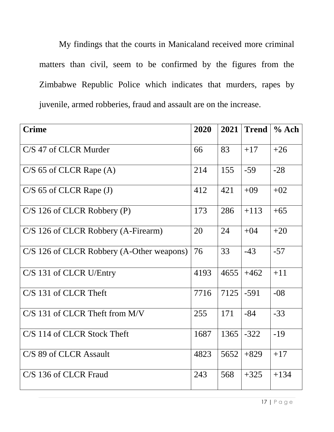My findings that the courts in Manicaland received more criminal matters than civil, seem to be confirmed by the figures from the Zimbabwe Republic Police which indicates that murders, rapes by juvenile, armed robberies, fraud and assault are on the increase.

| <b>Crime</b>                              | 2020 | 2021 | <b>Trend</b> | % Ach  |
|-------------------------------------------|------|------|--------------|--------|
| C/S 47 of CLCR Murder                     | 66   | 83   | $+17$        | $+26$  |
| $C/S$ 65 of CLCR Rape $(A)$               | 214  | 155  | $-59$        | $-28$  |
| $C/S$ 65 of CLCR Rape (J)                 | 412  | 421  | $+09$        | $+02$  |
| $C/S$ 126 of CLCR Robbery (P)             | 173  | 286  | $+113$       | $+65$  |
| C/S 126 of CLCR Robbery (A-Firearm)       | 20   | 24   | $+04$        | $+20$  |
| C/S 126 of CLCR Robbery (A-Other weapons) | 76   | 33   | $-43$        | $-57$  |
| C/S 131 of CLCR U/Entry                   | 4193 | 4655 | $+462$       | $+11$  |
| C/S 131 of CLCR Theft                     | 7716 | 7125 | $-591$       | $-08$  |
| $C/S$ 131 of CLCR Theft from M/V          | 255  | 171  | $-84$        | $-33$  |
| C/S 114 of CLCR Stock Theft               | 1687 | 1365 | $-322$       | $-19$  |
| C/S 89 of CLCR Assault                    | 4823 | 5652 | $+829$       | $+17$  |
| C/S 136 of CLCR Fraud                     | 243  | 568  | $+325$       | $+134$ |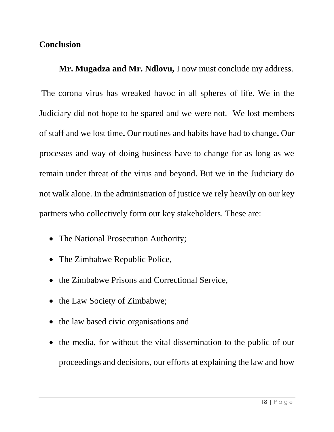#### **Conclusion**

**Mr. Mugadza and Mr. Ndlovu,** I now must conclude my address.

The corona virus has wreaked havoc in all spheres of life. We in the Judiciary did not hope to be spared and we were not.We lost members of staff and we lost time**.** Our routines and habits have had to change**.** Our processes and way of doing business have to change for as long as we remain under threat of the virus and beyond. But we in the Judiciary do not walk alone. In the administration of justice we rely heavily on our key partners who collectively form our key stakeholders. These are:

- The National Prosecution Authority;
- The Zimbabwe Republic Police,
- the Zimbabwe Prisons and Correctional Service,
- the Law Society of Zimbabwe;
- the law based civic organisations and
- the media, for without the vital dissemination to the public of our proceedings and decisions, our efforts at explaining the law and how